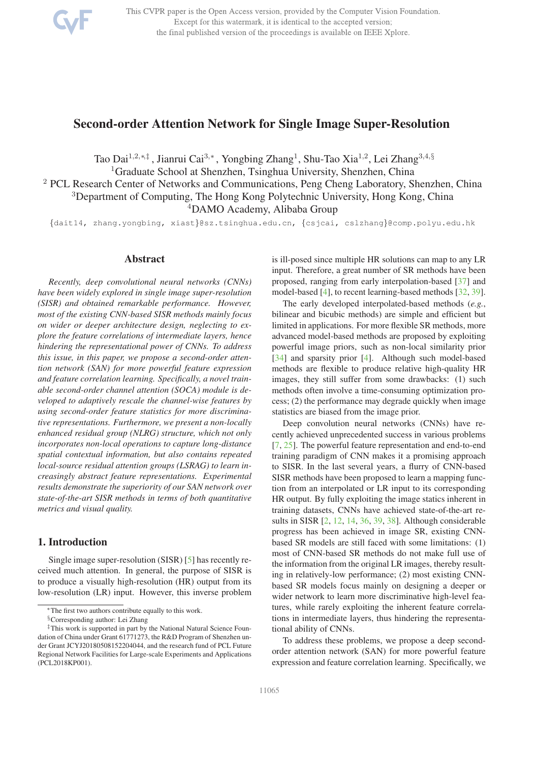

This CVPR paper is the Open Access version, provided by the Computer Vision Foundation. Except for this watermark, it is identical to the accepted version; the final published version of the proceedings is available on IEEE Xplore.

# Second-order Attention Network for Single Image Super-Resolution

Tao Dai<sup>1,2,∗,‡</sup> , Jianrui Cai<sup>3,∗</sup> , Yongbing Zhang<sup>1</sup>, Shu-Tao Xia<sup>1,2</sup>, Lei Zhang<sup>3,4,§</sup>

<sup>1</sup>Graduate School at Shenzhen, Tsinghua University, Shenzhen, China

<sup>2</sup> PCL Research Center of Networks and Communications, Peng Cheng Laboratory, Shenzhen, China <sup>3</sup>Department of Computing, The Hong Kong Polytechnic University, Hong Kong, China

<sup>4</sup>DAMO Academy, Alibaba Group

{dait14, zhang.yongbing, xiast}@sz.tsinghua.edu.cn, {csjcai, cslzhang}@comp.polyu.edu.hk

### Abstract

*Recently, deep convolutional neural networks (CNNs) have been widely explored in single image super-resolution (SISR) and obtained remarkable performance. However, most of the existing CNN-based SISR methods mainly focus on wider or deeper architecture design, neglecting to explore the feature correlations of intermediate layers, hence hindering the representational power of CNNs. To address this issue, in this paper, we propose a second-order attention network (SAN) for more powerful feature expression and feature correlation learning. Specifically, a novel trainable second-order channel attention (SOCA) module is developed to adaptively rescale the channel-wise features by using second-order feature statistics for more discriminative representations. Furthermore, we present a non-locally enhanced residual group (NLRG) structure, which not only incorporates non-local operations to capture long-distance spatial contextual information, but also contains repeated local-source residual attention groups (LSRAG) to learn increasingly abstract feature representations. Experimental results demonstrate the superiority of our SAN network over state-of-the-art SISR methods in terms of both quantitative metrics and visual quality.*

## 1. Introduction

Single image super-resolution (SISR) [5] has recently received much attention. In general, the purpose of SISR is to produce a visually high-resolution (HR) output from its low-resolution (LR) input. However, this inverse problem is ill-posed since multiple HR solutions can map to any LR input. Therefore, a great number of SR methods have been proposed, ranging from early interpolation-based [37] and model-based [4], to recent learning-based methods [32, 39].

The early developed interpolated-based methods (*e.g.*, bilinear and bicubic methods) are simple and efficient but limited in applications. For more flexible SR methods, more advanced model-based methods are proposed by exploiting powerful image priors, such as non-local similarity prior [34] and sparsity prior [4]. Although such model-based methods are flexible to produce relative high-quality HR images, they still suffer from some drawbacks: (1) such methods often involve a time-consuming optimization process; (2) the performance may degrade quickly when image statistics are biased from the image prior.

Deep convolution neural networks (CNNs) have recently achieved unprecedented success in various problems [7, 25]. The powerful feature representation and end-to-end training paradigm of CNN makes it a promising approach to SISR. In the last several years, a flurry of CNN-based SISR methods have been proposed to learn a mapping function from an interpolated or LR input to its corresponding HR output. By fully exploiting the image statics inherent in training datasets, CNNs have achieved state-of-the-art results in SISR [2, 12, 14, 36, 39, 38]. Although considerable progress has been achieved in image SR, existing CNNbased SR models are still faced with some limitations: (1) most of CNN-based SR methods do not make full use of the information from the original LR images, thereby resulting in relatively-low performance; (2) most existing CNNbased SR models focus mainly on designing a deeper or wider network to learn more discriminative high-level features, while rarely exploiting the inherent feature correlations in intermediate layers, thus hindering the representational ability of CNNs.

To address these problems, we propose a deep secondorder attention network (SAN) for more powerful feature expression and feature correlation learning. Specifically, we

<sup>∗</sup>The first two authors contribute equally to this work.

<sup>§</sup>Corresponding author: Lei Zhang

<sup>‡</sup>This work is supported in part by the National Natural Science Foundation of China under Grant 61771273, the R&D Program of Shenzhen under Grant JCYJ20180508152204044, and the research fund of PCL Future Regional Network Facilities for Large-scale Experiments and Applications (PCL2018KP001).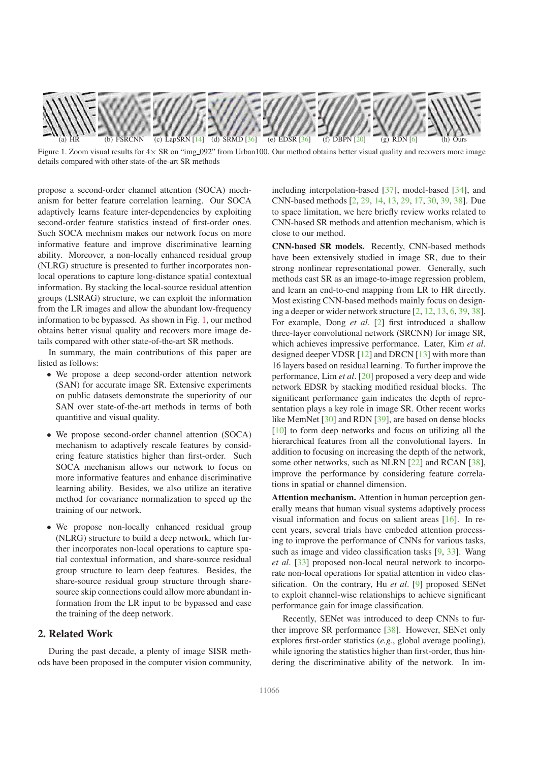

Figure 1. Zoom visual results for  $4 \times$  SR on "img 092" from Urban100. Our method obtains better visual quality and recovers more image details compared with other state-of-the-art SR methods

propose a second-order channel attention (SOCA) mechanism for better feature correlation learning. Our SOCA adaptively learns feature inter-dependencies by exploiting second-order feature statistics instead of first-order ones. Such SOCA mechnism makes our network focus on more informative feature and improve discriminative learning ability. Moreover, a non-locally enhanced residual group (NLRG) structure is presented to further incorporates nonlocal operations to capture long-distance spatial contextual information. By stacking the local-source residual attention groups (LSRAG) structure, we can exploit the information from the LR images and allow the abundant low-frequency information to be bypassed. As shown in Fig. 1, our method obtains better visual quality and recovers more image details compared with other state-of-the-art SR methods.

In summary, the main contributions of this paper are listed as follows:

- We propose a deep second-order attention network (SAN) for accurate image SR. Extensive experiments on public datasets demonstrate the superiority of our SAN over state-of-the-art methods in terms of both quantitive and visual quality.
- We propose second-order channel attention (SOCA) mechanism to adaptively rescale features by considering feature statistics higher than first-order. Such SOCA mechanism allows our network to focus on more informative features and enhance discriminative learning ability. Besides, we also utilize an iterative method for covariance normalization to speed up the training of our network.
- We propose non-locally enhanced residual group (NLRG) structure to build a deep network, which further incorporates non-local operations to capture spatial contextual information, and share-source residual group structure to learn deep features. Besides, the share-source residual group structure through sharesource skip connections could allow more abundant information from the LR input to be bypassed and ease the training of the deep network.

# 2. Related Work

During the past decade, a plenty of image SISR methods have been proposed in the computer vision community,

including interpolation-based [37], model-based [34], and CNN-based methods [2, 29, 14, 13, 29, 17, 30, 39, 38]. Due to space limitation, we here briefly review works related to CNN-based SR methods and attention mechanism, which is close to our method.

CNN-based SR models. Recently, CNN-based methods have been extensively studied in image SR, due to their strong nonlinear representational power. Generally, such methods cast SR as an image-to-image regression problem, and learn an end-to-end mapping from LR to HR directly. Most existing CNN-based methods mainly focus on designing a deeper or wider network structure [2, 12, 13, 6, 39, 38]. For example, Dong *et al*. [2] first introduced a shallow three-layer convolutional network (SRCNN) for image SR, which achieves impressive performance. Later, Kim *et al*. designed deeper VDSR [12] and DRCN [13] with more than 16 layers based on residual learning. To further improve the performance, Lim *et al*. [20] proposed a very deep and wide network EDSR by stacking modified residual blocks. The significant performance gain indicates the depth of representation plays a key role in image SR. Other recent works like MemNet [30] and RDN [39], are based on dense blocks [10] to form deep networks and focus on utilizing all the hierarchical features from all the convolutional layers. In addition to focusing on increasing the depth of the network, some other networks, such as NLRN [22] and RCAN [38], improve the performance by considering feature correlations in spatial or channel dimension.

Attention mechanism. Attention in human perception generally means that human visual systems adaptively process visual information and focus on salient areas [16]. In recent years, several trials have embeded attention processing to improve the performance of CNNs for various tasks, such as image and video classification tasks [9, 33]. Wang *et al*. [33] proposed non-local neural network to incorporate non-local operations for spatial attention in video classification. On the contrary, Hu *et al*. [9] proposed SENet to exploit channel-wise relationships to achieve significant performance gain for image classification.

Recently, SENet was introduced to deep CNNs to further improve SR performance [38]. However, SENet only explores first-order statistics (*e.g.*, global average pooling), while ignoring the statistics higher than first-order, thus hindering the discriminative ability of the network. In im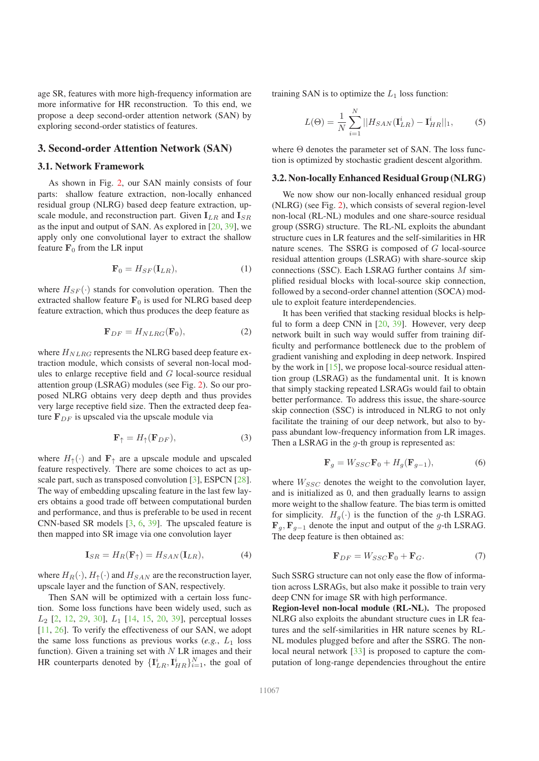age SR, features with more high-frequency information are more informative for HR reconstruction. To this end, we propose a deep second-order attention network (SAN) by exploring second-order statistics of features.

### 3. Second-order Attention Network (SAN)

### 3.1. Network Framework

As shown in Fig. 2, our SAN mainly consists of four parts: shallow feature extraction, non-locally enhanced residual group (NLRG) based deep feature extraction, upscale module, and reconstruction part. Given  $I_{LR}$  and  $I_{SR}$ as the input and output of SAN. As explored in [20, 39], we apply only one convolutional layer to extract the shallow feature  $\mathbf{F}_0$  from the LR input

$$
\mathbf{F}_0 = H_{SF}(\mathbf{I}_{LR}),\tag{1}
$$

where  $H_{SF}(\cdot)$  stands for convolution operation. Then the extracted shallow feature  $\mathbf{F}_0$  is used for NLRG based deep feature extraction, which thus produces the deep feature as

$$
\mathbf{F}_{DF} = H_{NLRG}(\mathbf{F}_0),\tag{2}
$$

where  $H_{NLRG}$  represents the NLRG based deep feature extraction module, which consists of several non-local modules to enlarge receptive field and G local-source residual attention group (LSRAG) modules (see Fig. 2). So our proposed NLRG obtains very deep depth and thus provides very large receptive field size. Then the extracted deep feature  $\mathbf{F}_{DF}$  is upscaled via the upscale module via

$$
\mathbf{F}_{\uparrow} = H_{\uparrow}(\mathbf{F}_{DF}),\tag{3}
$$

where  $H_{\uparrow}(\cdot)$  and  $\mathbf{F}_{\uparrow}$  are a upscale module and upscaled feature respectively. There are some choices to act as upscale part, such as transposed convolution [3], ESPCN [28]. The way of embedding upscaling feature in the last few layers obtains a good trade off between computational burden and performance, and thus is preferable to be used in recent CNN-based SR models [3, 6, 39]. The upscaled feature is then mapped into SR image via one convolution layer

$$
\mathbf{I}_{SR} = H_R(\mathbf{F}_{\uparrow}) = H_{SAN}(\mathbf{I}_{LR}),\tag{4}
$$

where  $H_R(\cdot)$ ,  $H_{\uparrow}(\cdot)$  and  $H_{SAN}$  are the reconstruction layer, upscale layer and the function of SAN, respectively.

Then SAN will be optimized with a certain loss function. Some loss functions have been widely used, such as  $L_2$  [2, 12, 29, 30],  $L_1$  [14, 15, 20, 39], perceptual losses [11, 26]. To verify the effectiveness of our SAN, we adopt the same loss functions as previous works  $(e.g., L_1]$  loss function). Given a training set with  $N$  LR images and their HR counterparts denoted by  $\{\mathbf{I}_{LR}^i, \mathbf{I}_{HR}^i\}_{i=1}^N$ , the goal of

training SAN is to optimize the  $L_1$  loss function:

$$
L(\Theta) = \frac{1}{N} \sum_{i=1}^{N} ||H_{SAN}(\mathbf{I}_{LR}^i) - \mathbf{I}_{HR}^i||_1,
$$
 (5)

where  $\Theta$  denotes the parameter set of SAN. The loss function is optimized by stochastic gradient descent algorithm.

### 3.2. Non-locally Enhanced Residual Group (NLRG)

We now show our non-locally enhanced residual group (NLRG) (see Fig. 2), which consists of several region-level non-local (RL-NL) modules and one share-source residual group (SSRG) structure. The RL-NL exploits the abundant structure cues in LR features and the self-similarities in HR nature scenes. The SSRG is composed of G local-source residual attention groups (LSRAG) with share-source skip connections (SSC). Each LSRAG further contains  $M$  simplified residual blocks with local-source skip connection, followed by a second-order channel attention (SOCA) module to exploit feature interdependencies.

It has been verified that stacking residual blocks is helpful to form a deep CNN in [20, 39]. However, very deep network built in such way would suffer from training difficulty and performance bottleneck due to the problem of gradient vanishing and exploding in deep network. Inspired by the work in [15], we propose local-source residual attention group (LSRAG) as the fundamental unit. It is known that simply stacking repeated LSRAGs would fail to obtain better performance. To address this issue, the share-source skip connection (SSC) is introduced in NLRG to not only facilitate the training of our deep network, but also to bypass abundant low-frequency information from LR images. Then a LSRAG in the  $q$ -th group is represented as:

$$
\mathbf{F}_g = W_{SSC}\mathbf{F}_0 + H_g(\mathbf{F}_{g-1}),\tag{6}
$$

where  $W_{SSC}$  denotes the weight to the convolution layer, and is initialized as 0, and then gradually learns to assign more weight to the shallow feature. The bias term is omitted for simplicity.  $H_q(\cdot)$  is the function of the g-th LSRAG.  $\mathbf{F}_g$ ,  $\mathbf{F}_{g-1}$  denote the input and output of the g-th LSRAG. The deep feature is then obtained as:

$$
\mathbf{F}_{DF} = W_{SSC}\mathbf{F}_0 + \mathbf{F}_G. \tag{7}
$$

Such SSRG structure can not only ease the flow of information across LSRAGs, but also make it possible to train very deep CNN for image SR with high performance.

Region-level non-local module (RL-NL). The proposed NLRG also exploits the abundant structure cues in LR features and the self-similarities in HR nature scenes by RL-NL modules plugged before and after the SSRG. The nonlocal neural network [33] is proposed to capture the computation of long-range dependencies throughout the entire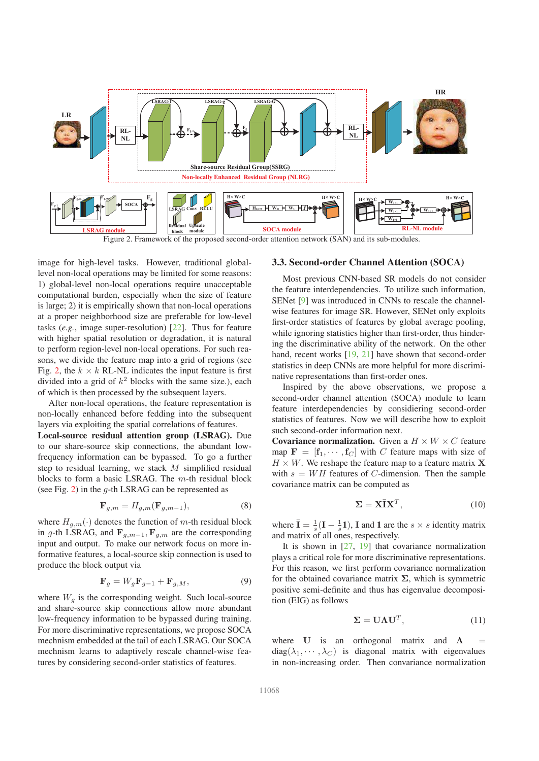

Figure 2. Framework of the proposed second-order attention network (SAN) and its sub-modules.

image for high-level tasks. However, traditional globallevel non-local operations may be limited for some reasons: 1) global-level non-local operations require unacceptable computational burden, especially when the size of feature is large; 2) it is empirically shown that non-local operations at a proper neighborhood size are preferable for low-level tasks (*e.g.*, image super-resolution) [22]. Thus for feature with higher spatial resolution or degradation, it is natural to perform region-level non-local operations. For such reasons, we divide the feature map into a grid of regions (see Fig. 2, the  $k \times k$  RL-NL indicates the input feature is first divided into a grid of  $k^2$  blocks with the same size.), each of which is then processed by the subsequent layers.

After non-local operations, the feature representation is non-locally enhanced before fedding into the subsequent layers via exploiting the spatial correlations of features.

Local-source residual attention group (LSRAG). Due to our share-source skip connections, the abundant lowfrequency information can be bypassed. To go a further step to residual learning, we stack M simplified residual blocks to form a basic LSRAG. The m-th residual block (see Fig. 2) in the  $q$ -th LSRAG can be represented as

$$
\mathbf{F}_{g,m} = H_{g,m}(\mathbf{F}_{g,m-1}),\tag{8}
$$

where  $H_{q,m}(\cdot)$  denotes the function of m-th residual block in g-th LSRAG, and  $\mathbf{F}_{g,m-1}, \mathbf{F}_{g,m}$  are the corresponding input and output. To make our network focus on more informative features, a local-source skip connection is used to produce the block output via

$$
\mathbf{F}_g = W_g \mathbf{F}_{g-1} + \mathbf{F}_{g,M},\tag{9}
$$

where  $W_q$  is the corresponding weight. Such local-source and share-source skip connections allow more abundant low-frequency information to be bypassed during training. For more discriminative representations, we propose SOCA mechnism embedded at the tail of each LSRAG. Our SOCA mechnism learns to adaptively rescale channel-wise features by considering second-order statistics of features.

#### 3.3. Second-order Channel Attention (SOCA)

Most previous CNN-based SR models do not consider the feature interdependencies. To utilize such information, SENet [9] was introduced in CNNs to rescale the channelwise features for image SR. However, SENet only exploits first-order statistics of features by global average pooling, while ignoring statistics higher than first-order, thus hindering the discriminative ability of the network. On the other hand, recent works [19, 21] have shown that second-order statistics in deep CNNs are more helpful for more discriminative representations than first-order ones.

Inspired by the above observations, we propose a second-order channel attention (SOCA) module to learn feature interdependencies by considiering second-order statistics of features. Now we will describe how to exploit such second-order information next.

Covariance normalization. Given a  $H \times W \times C$  feature map  $\mathbf{F} = [\mathbf{f}_1, \cdots, \mathbf{f}_C]$  with C feature maps with size of  $H \times W$ . We reshape the feature map to a feature matrix X with  $s = WH$  features of C-dimension. Then the sample covariance matrix can be computed as

$$
\Sigma = \mathbf{X}\bar{\mathbf{I}}\mathbf{X}^T,\tag{10}
$$

where  $\bar{I} = \frac{1}{s}(I - \frac{1}{s}I)$ , I and 1 are the  $s \times s$  identity matrix and matrix of all ones, respectively.

It is shown in  $[27, 19]$  that covariance normalization plays a critical role for more discriminative representations. For this reason, we first perform covariance normalization for the obtained covariance matrix  $\Sigma$ , which is symmetric positive semi-definite and thus has eigenvalue decomposition (EIG) as follows

$$
\Sigma = \mathbf{U}\Lambda\mathbf{U}^T,\tag{11}
$$

where U is an orthogonal matrix and  $\Lambda$  $diag(\lambda_1, \dots, \lambda_C)$  is diagonal matrix with eigenvalues in non-increasing order. Then convariance normalization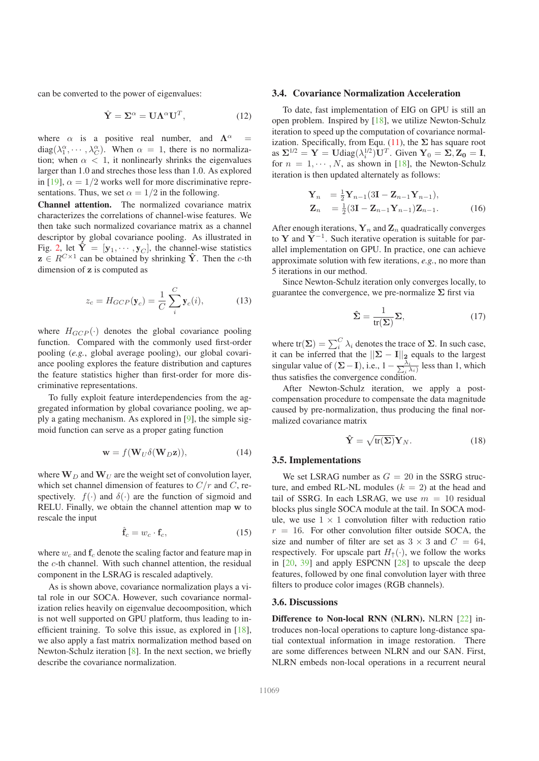can be converted to the power of eigenvalues:

$$
\hat{\mathbf{Y}} = \Sigma^{\alpha} = \mathbf{U} \Lambda^{\alpha} \mathbf{U}^{T}, \qquad (12)
$$

where  $\alpha$  is a positive real number, and  $\Lambda^{\alpha}$  $diag(\lambda_1^{\alpha}, \cdots, \lambda_C^{\alpha})$ . When  $\alpha = 1$ , there is no normalization; when  $\alpha$  < 1, it nonlinearly shrinks the eigenvalues larger than 1.0 and streches those less than 1.0. As explored in [19],  $\alpha = 1/2$  works well for more discriminative representations. Thus, we set  $\alpha = 1/2$  in the following.

Channel attention. The normalized covariance matrix characterizes the correlations of channel-wise features. We then take such normalized covariance matrix as a channel descriptor by global covariance pooling. As illustrated in Fig. 2, let  $\hat{\mathbf{Y}} = [\mathbf{y}_1, \cdots, \mathbf{y}_C]$ , the channel-wise statistics  $z \in R^{C \times 1}$  can be obtained by shrinking  $\hat{Y}$ . Then the c-th dimension of z is computed as

$$
z_c = H_{GCP}(\mathbf{y}_c) = \frac{1}{C} \sum_{i}^{C} \mathbf{y}_c(i), \tag{13}
$$

where  $H_{GCP}(\cdot)$  denotes the global covariance pooling function. Compared with the commonly used first-order pooling (*e.g.*, global average pooling), our global covariance pooling explores the feature distribution and captures the feature statistics higher than first-order for more discriminative representations.

To fully exploit feature interdependencies from the aggregated information by global covariance pooling, we apply a gating mechanism. As explored in [9], the simple sigmoid function can serve as a proper gating function

$$
\mathbf{w} = f(\mathbf{W}_U \delta(\mathbf{W}_D \mathbf{z})), \tag{14}
$$

where  $W_D$  and  $W_U$  are the weight set of convolution layer, which set channel dimension of features to  $C/r$  and C, respectively.  $f(\cdot)$  and  $\delta(\cdot)$  are the function of sigmoid and RELU. Finally, we obtain the channel attention map w to rescale the input

$$
\hat{\mathbf{f}}_c = w_c \cdot \mathbf{f}_c,\tag{15}
$$

where  $w_c$  and  $f_c$  denote the scaling factor and feature map in the c-th channel. With such channel attention, the residual component in the LSRAG is rescaled adaptively.

As is shown above, covariance normalization plays a vital role in our SOCA. However, such covariance normalization relies heavily on eigenvalue decoomposition, which is not well supported on GPU platform, thus leading to inefficient training. To solve this issue, as explored in [18], we also apply a fast matrix normalization method based on Newton-Schulz iteration [8]. In the next section, we briefly describe the covariance normalization.

### 3.4. Covariance Normalization Acceleration

To date, fast implementation of EIG on GPU is still an open problem. Inspired by [18], we utilize Newton-Schulz iteration to speed up the computation of covariance normalization. Specifically, from Equ. (11), the  $\Sigma$  has square root as  $\Sigma^{1/2} = \mathbf{Y} = \text{Udiag}(\lambda_i^{1/2})\mathbf{U}^T$ . Given  $\mathbf{Y}_0 = \Sigma, \mathbf{Z}_0 = \mathbf{I}$ , for  $n = 1, \dots, N$ , as shown in [18], the Newton-Schulz iteration is then updated alternately as follows:

$$
\mathbf{Y}_n = \frac{1}{2} \mathbf{Y}_{n-1} (3\mathbf{I} - \mathbf{Z}_{n-1} \mathbf{Y}_{n-1}), \n\mathbf{Z}_n = \frac{1}{2} (3\mathbf{I} - \mathbf{Z}_{n-1} \mathbf{Y}_{n-1}) \mathbf{Z}_{n-1}.
$$
\n(16)

After enough iterations,  $Y_n$  and  $Z_n$  quadratically converges to Y and  $Y^{-1}$ . Such iterative operation is suitable for parallel implementation on GPU. In practice, one can achieve approximate solution with few iterations, *e.g.*, no more than 5 iterations in our method.

Since Newton-Schulz iteration only converges locally, to guarantee the convergence, we pre-normalize  $\Sigma$  first via

$$
\hat{\Sigma} = \frac{1}{\text{tr}(\Sigma)} \Sigma,
$$
\n(17)

where tr( $\Sigma$ ) =  $\sum_{i}^{C} \lambda_i$  denotes the trace of  $\Sigma$ . In such case, it can be inferred that the  $||\Sigma - I||_2$  equals to the largest singular value of  $(\Sigma - I)$ , i.e.,  $1 - \frac{\lambda_i}{\sum_i \lambda_i}$  less than 1, which thus satisfies the convergence condition.

After Newton-Schulz iteration, we apply a postcompensation procedure to compensate the data magnitude caused by pre-normalization, thus producing the final normalized covariance matrix

$$
\hat{\mathbf{Y}} = \sqrt{\text{tr}(\boldsymbol{\Sigma})} \mathbf{Y}_N. \tag{18}
$$

### 3.5. Implementations

We set LSRAG number as  $G = 20$  in the SSRG structure, and embed RL-NL modules  $(k = 2)$  at the head and tail of SSRG. In each LSRAG, we use  $m = 10$  residual blocks plus single SOCA module at the tail. In SOCA module, we use  $1 \times 1$  convolution filter with reduction ratio  $r = 16$ . For other convolution filter outside SOCA, the size and number of filter are set as  $3 \times 3$  and  $C = 64$ , respectively. For upscale part  $H_{\uparrow}(\cdot)$ , we follow the works in [20, 39] and apply ESPCNN [28] to upscale the deep features, followed by one final convolution layer with three filters to produce color images (RGB channels).

#### 3.6. Discussions

Difference to Non-local RNN (NLRN). NLRN [22] introduces non-local operations to capture long-distance spatial contextual information in image restoration. There are some differences between NLRN and our SAN. First, NLRN embeds non-local operations in a recurrent neural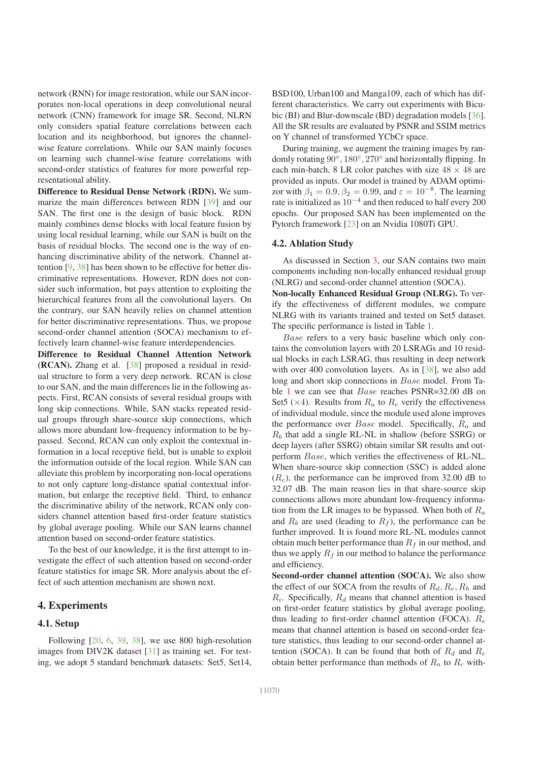network (RNN) for image restoration, while our SAN incorporates non-local operations in deep convolutional neural network (CNN) framework for image SR. Second, NLRN only considers spatial feature correlations between each location and its neighborhood, but ignores the channelwise feature correlations. While our SAN mainly focuses on learning such channel-wise feature correlations with second-order statistics of features for more powerful representational ability.

Difference to Residual Dense Network (RDN). We summarize the main differences between RDN [39] and our SAN. The first one is the design of basic block. RDN mainly combines dense blocks with local feature fusion by using local residual learning, while our SAN is built on the basis of residual blocks. The second one is the way of enhancing discriminative ability of the network. Channel attention [9, 38] has been shown to be effective for better discriminative representations. However, RDN does not consider such information, but pays attention to exploiting the hierarchical features from all the convolutional layers. On the contrary, our SAN heavily relies on channel attention for better discriminative representations. Thus, we propose second-order channel attention (SOCA) mechanism to effectively learn channel-wise feature interdependencies.

Difference to Residual Channel Attention Network (RCAN). Zhang et al. [38] proposed a residual in residual structure to form a very deep network. RCAN is close to our SAN, and the main differences lie in the following aspects. First, RCAN consists of several residual groups with long skip connections. While, SAN stacks repeated residual groups through share-source skip connections, which allows more abundant low-frequency information to be bypassed. Second, RCAN can only exploit the contextual information in a local receptive field, but is unable to exploit the information outside of the local region. While SAN can alleviate this problem by incorporating non-local operations to not only capture long-distance spatial contextual information, but enlarge the receptive field. Third, to enhance the discriminative ability of the network, RCAN only considers channel attention based first-order feature statistics by global average pooling. While our SAN learns channel attention based on second-order feature statistics.

To the best of our knowledge, it is the first attempt to investigate the effect of such attention based on second-order feature statistics for image SR. More analysis about the effect of such attention mechanism are shown next.

### 4. Experiments

### 4.1. Setup

Following  $[20, 6, 39, 38]$ , we use 800 high-resolution images from DIV2K dataset [31] as training set. For testing, we adopt 5 standard benchmark datasets: Set5, Set14,

BSD100, Urban100 and Manga109, each of which has different characteristics. We carry out experiments with Bicubic (BI) and Blur-downscale (BD) degradation models [36]. All the SR results are evaluated by PSNR and SSIM metrics on Y channel of transformed YCbCr space.

During training, we augment the training images by randomly rotating 90°, 180°, 270° and horizontally flipping. In each min-batch, 8 LR color patches with size  $48 \times 48$  are provided as inputs. Our model is trained by ADAM optimizor with  $\beta_1 = 0.9$ ,  $\beta_2 = 0.99$ , and  $\varepsilon = 10^{-8}$ . The learning rate is initialized as  $10^{-4}$  and then reduced to half every 200 epochs. Our proposed SAN has been implemented on the Pytorch framework [23] on an Nvidia 1080Ti GPU.

#### 4.2. Ablation Study

As discussed in Section 3, our SAN contains two main components including non-locally enhanced residual group (NLRG) and second-order channel attention (SOCA).

Non-locally Enhanced Residual Group (NLRG). To verify the effectiveness of different modules, we compare NLRG with its variants trained and tested on Set5 dataset. The specific performance is listed in Table 1.

Base refers to a very basic baseline which only contains the convolution layers with 20 LSRAGs and 10 residual blocks in each LSRAG, thus resulting in deep network with over 400 convolution layers. As in [38], we also add long and short skip connections in Base model. From Table 1 we can see that Base reaches PSNR=32.00 dB on Set5 ( $\times$ 4). Results from  $R_a$  to  $R_e$  verify the effectiveness of individual module, since the module used alone improves the performance over  $Base$  model. Specifically,  $R_a$  and  $R_b$  that add a single RL-NL in shallow (before SSRG) or deep layers (after SSRG) obtain similar SR results and outperform Base, which verifies the effectiveness of RL-NL. When share-source skip connection (SSC) is added alone  $(R<sub>c</sub>)$ , the performance can be improved from 32.00 dB to 32.07 dB. The main reason lies in that share-source skip connections allows more abundant low-frequency information from the LR images to be bypassed. When both of  $R_a$ and  $R_b$  are used (leading to  $R_f$ ), the performance can be further improved. It is found more RL-NL modules cannot obtain much better performance than  $R_f$  in our method, and thus we apply  $R_f$  in our method to balance the performance and efficiency.

Second-order channel attention (SOCA). We also show the effect of our SOCA from the results of  $R_d, R_e, R_h$  and  $R_i$ . Specifically,  $R_d$  means that channel attention is based on first-order feature statistics by global average pooling, thus leading to first-order channel attention (FOCA).  $R_e$ means that channel attention is based on second-order feature statistics, thus leading to our second-order channel attention (SOCA). It can be found that both of  $R_d$  and  $R_e$ obtain better performance than methods of  $R_a$  to  $R_c$  with-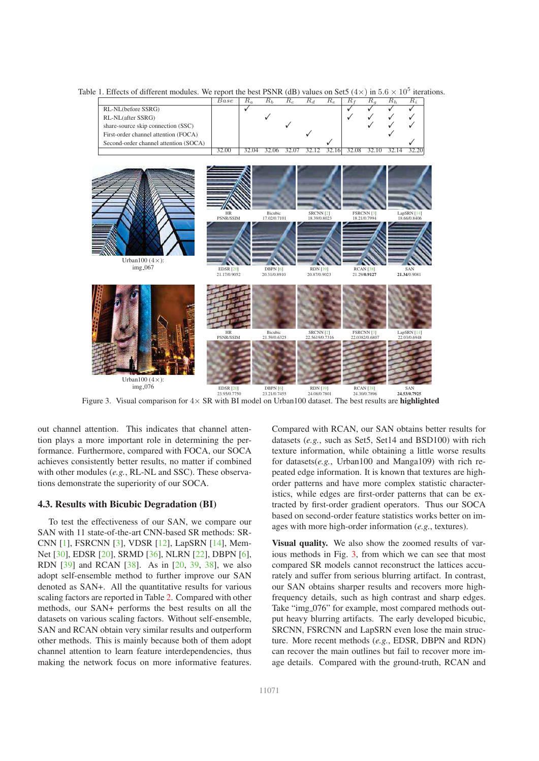

Table 1. Effects of different modules. We report the best PSNR (dB) values on Set5 ( $4 \times$ ) in  $5.6 \times 10^5$  iterations.

Figure 3. Visual comparison for  $4 \times \text{SR}$  with BI model on Urban100 dataset. The best results are **highlighted** 

out channel attention. This indicates that channel attention plays a more important role in determining the performance. Furthermore, compared with FOCA, our SOCA achieves consistently better results, no matter if combined with other modules (*e.g.*, RL-NL and SSC). These observations demonstrate the superiority of our SOCA.

#### 4.3. Results with Bicubic Degradation (BI)

To test the effectiveness of our SAN, we compare our SAN with 11 state-of-the-art CNN-based SR methods: SR-CNN [1], FSRCNN [3], VDSR [12], LapSRN [14], Mem-Net [30], EDSR [20], SRMD [36], NLRN [22], DBPN [6], RDN [39] and RCAN [38]. As in [20, 39, 38], we also adopt self-ensemble method to further improve our SAN denoted as SAN+. All the quantitative results for various scaling factors are reported in Table 2. Compared with other methods, our SAN+ performs the best results on all the datasets on various scaling factors. Without self-ensemble, SAN and RCAN obtain very similar results and outperform other methods. This is mainly because both of them adopt channel attention to learn feature interdependencies, thus making the network focus on more informative features.

Compared with RCAN, our SAN obtains better results for datasets (*e.g.*, such as Set5, Set14 and BSD100) with rich texture information, while obtaining a little worse results for datasets(*e.g.*, Urban100 and Manga109) with rich repeated edge information. It is known that textures are highorder patterns and have more complex statistic characteristics, while edges are first-order patterns that can be extracted by first-order gradient operators. Thus our SOCA based on second-order feature statistics works better on images with more high-order information (*e.g.*, textures).

Visual quality. We also show the zoomed results of various methods in Fig. 3, from which we can see that most compared SR models cannot reconstruct the lattices accurately and suffer from serious blurring artifact. In contrast, our SAN obtains sharper results and recovers more highfrequency details, such as high contrast and sharp edges. Take "img\_076" for example, most compared methods output heavy blurring artifacts. The early developed bicubic, SRCNN, FSRCNN and LapSRN even lose the main structure. More recent methods (*e.g.*, EDSR, DBPN and RDN) can recover the main outlines but fail to recover more image details. Compared with the ground-truth, RCAN and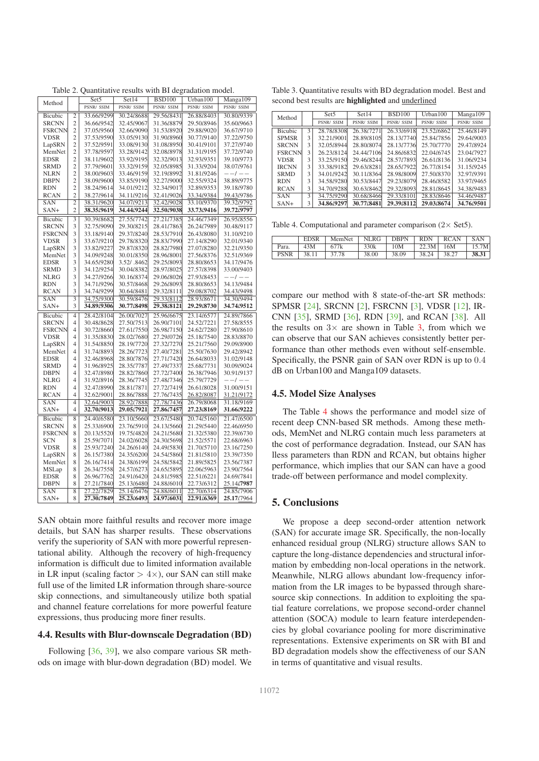| Method        |                | Set5       | Set14      | <b>BSD100</b> | Urban100   | Manga109   |
|---------------|----------------|------------|------------|---------------|------------|------------|
|               |                | PSNR/ SSIM | PSNR/ SSIM | PSNR/ SSIM    | PSNR/ SSIM | PSNR/ SSIM |
| Bicubic       | 2              | 33.66/9299 | 30.24/8688 | 29.56/8431    | 26.88/8403 | 30.80/9339 |
| <b>SRCNN</b>  | 2              | 36.66/9542 | 32.45/9067 | 31.36/8879    | 29.50/8946 | 35.60/9663 |
| <b>FSRCNN</b> | $\overline{c}$ | 37.05/9560 | 32.66/9090 | 31.53/8920    | 29.88/9020 | 36.67/9710 |
| <b>VDSR</b>   | 2              | 37.53/9590 | 33.05/9130 | 31.90/8960    | 30.77/9140 | 37.22/9750 |
| LapSRN        | $\overline{c}$ | 37.52/9591 | 33.08/9130 | 31.08/8950    | 30.41/9101 | 37.27/9740 |
| MemNet        | $\overline{c}$ | 37.78/9597 | 33.28/9142 | 32.08/8978    | 31.31/9195 | 37.72/9740 |
| EDSR          | $\overline{c}$ | 38.11/9602 | 33.92/9195 | 32.32/9013    | 32.93/9351 | 39.10/9773 |
| <b>SRMD</b>   | $\overline{c}$ | 37.79/9601 | 33.32/9159 | 32.05/8985    | 31.33/9204 | 38.07/9761 |
| <b>NLRN</b>   | $\overline{2}$ | 38.00/9603 | 33.46/9159 | 32.19/8992    | 31.81/9246 | $- -1 - -$ |
| <b>DBPN</b>   | $\overline{c}$ | 38.09/9600 | 33.85/9190 | 32.27/9000    | 32.55/9324 | 38.89/9775 |
| <b>RDN</b>    | $\overline{2}$ | 38.24/9614 | 34.01/9212 | 32.34/9017    | 32.89/9353 | 39.18/9780 |
| <b>RCAN</b>   | $\overline{c}$ | 38.27/9614 | 34.11/9216 | 32.41/9026    | 33.34/9384 | 39.43/9786 |
| SAN           | 2              | 38.31/9620 | 34.07/9213 | 32.42/9028    | 33.10/9370 | 39.32/9792 |
| SAN+          | $\overline{c}$ | 38.35/9619 | 34.44/9244 | 32.50/9038    | 33.73/9416 | 39.72/9797 |
| Bicubic       | 3              | 30.39/8682 | 27.55/7742 | 27.21/7385    | 24.46/7349 | 26.95/8556 |
| <b>SRCNN</b>  | 3              | 32.75/9090 | 29.30/8215 | 28.41/7863    | 26.24/7989 | 30.48/9117 |
| <b>FSRCNN</b> | 3              | 33.18/9140 | 29.37/8240 | 28.53/7910    | 26.43/8080 | 31.10/9210 |
| <b>VDSR</b>   | 3              | 33.67/9210 | 29.78/8320 | 28.83/7990    | 27.14/8290 | 32.01/9340 |
| LapSRN        | 3              | 33.82/9227 | 29.87/8320 | 28.82/7980    | 27.07/8280 | 32.21/9350 |
| MemNet        | 3              | 34.09/9248 | 30.01/8350 | 28.96/8001    | 27.56/8376 | 32.51/9369 |
| EDSR          | 3              | 34.65/9280 | 3.52/.8462 | 29.25/8093    | 28.80/8653 | 34.17/9476 |
| <b>SRMD</b>   | 3              | 34.12/9254 | 30.04/8382 | 28.97/8025    | 27.57/8398 | 33.00/9403 |
| <b>NLRG</b>   | 3              | 34.27/9266 | 30.16/8374 | 29.06/8026    | 27.93/8453 | $- -1 - -$ |
| <b>RDN</b>    | 3              | 34.71/9296 | 30.57/8468 | 29.26/8093    | 28.80/8653 | 34.13/9484 |
| <b>RCAN</b>   | 3              | 34.74/9299 | 30.64/8481 | 29.32/8111    | 29.08/8702 | 34.43/9498 |
| SAN           | 3              | 34.75/9300 | 30.59/8476 | 29.33/8112    | 28.93/8671 | 34.30/9494 |
| SAN+          | 3              | 34.89/9306 | 30.77/8498 | 29.38/8121    | 29.29/8730 | 34.74/9512 |
| Bicubic       | 4              | 28.42/8104 | 26.00/7027 | 25.96/6675    | 23.14/6577 | 24.89/7866 |
| <b>SRCNN</b>  | 4              | 30.48/8628 | 27.50/7513 | 26.90/7101    | 24.52/7221 | 27.58/8555 |
| <b>FSRCNN</b> | 4              | 30.72/8660 | 27.61/7550 | 26.98/7150    | 24.62/7280 | 27.90/8610 |
| <b>VDSR</b>   | 4              | 31.35/8830 | 28.02/7680 | 27.29/0726    | 25.18/7540 | 28.83/8870 |
| LapSRN        | 4              | 31.54/8850 | 28.19/7720 | 27.32/7270    | 25.21/7560 | 29.09/8900 |
| MemNet        | 4              | 31.74/8893 | 28.26/7723 | 27.40/.7281   | 25.50/7630 | 29.42/8942 |
| EDSR          | 4              | 32.46/8968 | 28.80/7876 | 27.71/7420    | 26.64/8033 | 31.02/9148 |
| <b>SRMD</b>   | $\overline{4}$ | 31.96/8925 | 28.35/7787 | 27.49/7337    | 25.68/7731 | 30.09/9024 |
| <b>DBPN</b>   | $\overline{4}$ | 32.47/8980 | 28.82/7860 | 27.72/7400    | 26.38/7946 | 30.91/9137 |
| <b>NLRG</b>   | $\overline{4}$ | 31.92/8916 | 28.36/7745 | 27.48/7346    | 25.79/7729 | $- -1 - -$ |
| <b>RDN</b>    | $\overline{4}$ | 32.47/8990 | 28.81/7871 | 27.72/7419    | 26.61/8028 | 31.00/9151 |
| <b>RCAN</b>   | $\overline{4}$ | 32.62/9001 | 28.86/7888 | 27.76/7435    | 26.82/8087 | 31.21/9172 |
| SAN           | 4              | 32.64/9003 | 28.92/7888 | 27.78/7436    | 26.79/8068 | 31.18/9169 |
| SAN+          | $\overline{4}$ | 32.70/9013 | 29.05/7921 | 27.86/7457    | 27.23/8169 | 31.66/9222 |
| Bicubic       | 8              | 24.40/6580 | 23.10/5660 | 23.67/5480    | 20.74/5160 | 21.47/6500 |
| <b>SRCNN</b>  | 8              | 25.33/6900 | 23.76/5910 | 24.13/5660    | 21.29/5440 | 22.46/6950 |
| <b>FSRCNN</b> | 8              | 20.13/5520 | 19.75/4820 | 24.21/5680    | 21.32/5380 | 22.39/6730 |
| SCN           | 8              | 25.59/7071 | 24.02/6028 | 24.30/5698    | 21.52/5571 | 22.68/6963 |
| <b>VDSR</b>   | 8              | 25.93/7240 | 24.26/6140 | 24.49/5830    | 21.70/5710 | 23.16/7250 |
| LapSRN        | 8              | 26.15/7380 | 24.35/6200 | 24.54/5860    | 21.81/5810 | 23.39/7350 |
| MemNet        | 8              | 26.16/7414 | 24.38/6199 | 24.58/5842    | 21.89/5825 | 23.56/7387 |
| MSLap         | 8              | 26.34/7558 | 24.57/6273 | 24.65/5895    | 22.06/5963 | 23.90/7564 |
| EDSR          | 8              | 26.96/7762 | 24.91/6420 | 24.81/5985    | 22.51/6221 | 24.69/7841 |
| <b>DBPN</b>   | 8              | 27.21/7840 | 25.13/6480 | 24.88/6010    | 22.73/6312 | 25.14/7987 |
| <b>SAN</b>    | $\overline{8}$ | 27.22/7829 | 25.14/6476 | 24.88/6011    | 22.70/6314 | 24.85/7906 |
| $SAN+$        | 8              | 27.30/7849 | 25.23/6493 | 24.97/6031    | 22.91/6369 | 25.17/7964 |

SAN obtain more faithful results and recover more image details, but SAN has sharper results. These observations verify the superiority of SAN with more powerful representational ability. Although the recovery of high-frequency information is difficult due to limited information available in LR input (scaling factor  $> 4 \times$ ), our SAN can still make full use of the limited LR information through share-source skip connections, and simultaneously utilize both spatial and channel feature correlations for more powerful feature expressions, thus producing more finer results.

### 4.4. Results with Blur-downscale Degradation (BD)

Following [36, 39], we also compare various SR methods on image with blur-down degradation (BD) model. We

Table 3. Quantitative results with BD degradation model. Best and second best results are highlighted and underlined

| Method         |   | Set <sub>5</sub> | Set14            | <b>BSD100</b>    | $U$ rban $100$   | Manga109         |
|----------------|---|------------------|------------------|------------------|------------------|------------------|
|                |   | <b>PSNR/SSIM</b> | <b>PSNR/SSIM</b> | <b>PSNR/SSIM</b> | <b>PSNR/SSIM</b> | <b>PSNR/SSIM</b> |
| <b>Bicubic</b> | 3 | 28.78/8308       | 26.38/7271       | 26.33/6918       | 23.52/6862       | 25.46/8149       |
| <b>SPMSR</b>   | 3 | 32.21/9001       | 28.89/8105       | 28.13/7740       | 25.84/7856       | 29.64/9003       |
| <b>SRCNN</b>   | 3 | 32.05/8944       | 28.80/8074       | 28.13/7736       | 25.70/7770       | 29.47/8924       |
| <b>FSRCNN</b>  | 3 | 26.23/8124       | 24.44/7106       | 24.86/6832       | 22.04/6745       | 23.04/7927       |
| <b>VDSR</b>    | 3 | 33.25/9150       | 29.46/8244       | 28.57/7893       | 26.61/8136       | 31.06/9234       |
| <b>IRCNN</b>   | 3 | 33.38/9182       | 29.63/8281       | 28.65/7922       | 26.77/8154       | 31.15/9245       |
| <b>SRMD</b>    | 3 | 34.01/9242       | 30.11/8364       | 28.98/8009       | 27.50/8370       | 32.97/9391       |
| <b>RDN</b>     | 3 | 34.58/9280       | 30.53/8447       | 29.23/8079       | 28.46/8582       | 33.97/9465       |
| <b>RCAN</b>    | 3 | 34.70/9288       | 30.63/8462       | 29.32/8093       | 28.81/8645       | 34.38/9483       |
| <b>SAN</b>     | 3 | 34.75/9290       | 30.68/8466       | 29.33.8101       | 28.83/8646       | 34.46/9487       |
| $SAN+$         | 3 | 34.86/9297       | 30.77/8481       | 29.39/8112       | 29.03/8674       | 34.76/9501       |

Table 4. Computational and parameter comparison  $(2 \times$  Set5).

|             | <b>EDSR</b> | MemNet | <b>NLRG</b> | <b>DBPN</b> | <b>RDN</b> | <b>RCAN</b> | <b>SAN</b> |
|-------------|-------------|--------|-------------|-------------|------------|-------------|------------|
| Para.       | 43M         | 677k   | 330k        | 10M         | 22.3M      | 16M         | 15.7M      |
| <b>PSNR</b> | 38.11       | 37.78  | 38.00       | 38.09       | 38.24      | 38.27       | 38.31      |

compare our method with 8 state-of-the-art SR methods: SPMSR [24], SRCNN [2], FSRCNN [3], VDSR [12], IR-CNN [35], SRMD [36], RDN [39], and RCAN [38]. All the results on  $3 \times$  are shown in Table 3, from which we can observe that our SAN achieves consistently better performance than other methods even without self-ensemble. Specifically, the PSNR gain of SAN over RDN is up to 0.4 dB on Urban100 and Manga109 datasets.

### 4.5. Model Size Analyses

The Table 4 shows the performance and model size of recent deep CNN-based SR methods. Among these methods, MemNet and NLRG contain much less parameters at the cost of performance degradation. Instead, our SAN has lless parameters than RDN and RCAN, but obtains higher performance, which implies that our SAN can have a good trade-off between performance and model complexity.

## 5. Conclusions

We propose a deep second-order attention network (SAN) for accurate image SR. Specifically, the non-locally enhanced residual group (NLRG) structure allows SAN to capture the long-distance dependencies and structural information by embedding non-local operations in the network. Meanwhile, NLRG allows abundant low-frequency information from the LR images to be bypassed through sharesource skip connections. In addition to exploiting the spatial feature correlations, we propose second-order channel attention (SOCA) module to learn feature interdependencies by global covariance pooling for more discriminative representations. Extensive experiments on SR with BI and BD degradation models show the effectiveness of our SAN in terms of quantitative and visual results.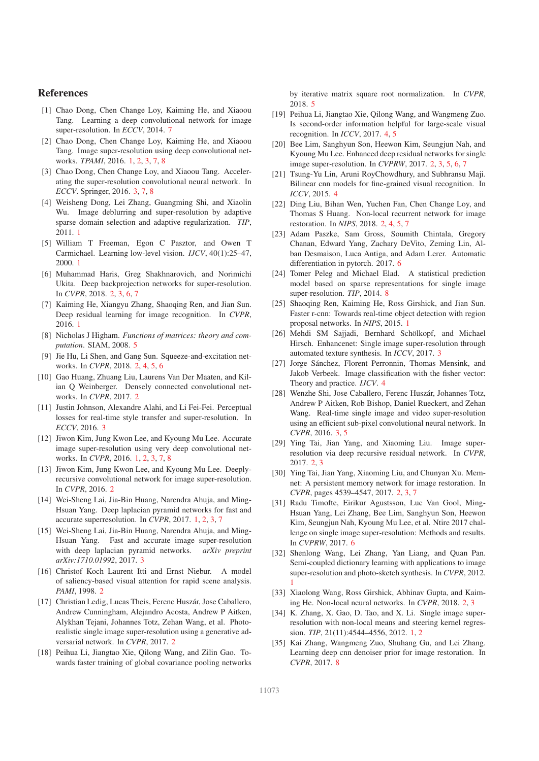### References

- [1] Chao Dong, Chen Change Loy, Kaiming He, and Xiaoou Tang. Learning a deep convolutional network for image super-resolution. In *ECCV*, 2014. 7
- [2] Chao Dong, Chen Change Loy, Kaiming He, and Xiaoou Tang. Image super-resolution using deep convolutional networks. *TPAMI*, 2016. 1, 2, 3, 7, 8
- [3] Chao Dong, Chen Change Loy, and Xiaoou Tang. Accelerating the super-resolution convolutional neural network. In *ECCV*. Springer, 2016. 3, 7, 8
- [4] Weisheng Dong, Lei Zhang, Guangming Shi, and Xiaolin Wu. Image deblurring and super-resolution by adaptive sparse domain selection and adaptive regularization. *TIP*, 2011. 1
- [5] William T Freeman, Egon C Pasztor, and Owen T Carmichael. Learning low-level vision. *IJCV*, 40(1):25–47, 2000. 1
- [6] Muhammad Haris, Greg Shakhnarovich, and Norimichi Ukita. Deep backprojection networks for super-resolution. In *CVPR*, 2018. 2, 3, 6, 7
- [7] Kaiming He, Xiangyu Zhang, Shaoqing Ren, and Jian Sun. Deep residual learning for image recognition. In *CVPR*, 2016. 1
- [8] Nicholas J Higham. *Functions of matrices: theory and computation*. SIAM, 2008. 5
- [9] Jie Hu, Li Shen, and Gang Sun. Squeeze-and-excitation networks. In *CVPR*, 2018. 2, 4, 5, 6
- [10] Gao Huang, Zhuang Liu, Laurens Van Der Maaten, and Kilian Q Weinberger. Densely connected convolutional networks. In *CVPR*, 2017. 2
- [11] Justin Johnson, Alexandre Alahi, and Li Fei-Fei. Perceptual losses for real-time style transfer and super-resolution. In *ECCV*, 2016. 3
- [12] Jiwon Kim, Jung Kwon Lee, and Kyoung Mu Lee. Accurate image super-resolution using very deep convolutional networks. In *CVPR*, 2016. 1, 2, 3, 7, 8
- [13] Jiwon Kim, Jung Kwon Lee, and Kyoung Mu Lee. Deeplyrecursive convolutional network for image super-resolution. In *CVPR*, 2016. 2
- [14] Wei-Sheng Lai, Jia-Bin Huang, Narendra Ahuja, and Ming-Hsuan Yang. Deep laplacian pyramid networks for fast and accurate superresolution. In *CVPR*, 2017. 1, 2, 3, 7
- [15] Wei-Sheng Lai, Jia-Bin Huang, Narendra Ahuja, and Ming-Hsuan Yang. Fast and accurate image super-resolution with deep laplacian pyramid networks. *arXiv preprint arXiv:1710.01992*, 2017. 3
- [16] Christof Koch Laurent Itti and Ernst Niebur. A model of saliency-based visual attention for rapid scene analysis. *PAMI*, 1998. 2
- [17] Christian Ledig, Lucas Theis, Ferenc Huszár, Jose Caballero, Andrew Cunningham, Alejandro Acosta, Andrew P Aitken, Alykhan Tejani, Johannes Totz, Zehan Wang, et al. Photorealistic single image super-resolution using a generative adversarial network. In *CVPR*, 2017. 2
- [18] Peihua Li, Jiangtao Xie, Qilong Wang, and Zilin Gao. Towards faster training of global covariance pooling networks

by iterative matrix square root normalization. In *CVPR*, 2018. 5

- [19] Peihua Li, Jiangtao Xie, Qilong Wang, and Wangmeng Zuo. Is second-order information helpful for large-scale visual recognition. In *ICCV*, 2017. 4, 5
- [20] Bee Lim, Sanghyun Son, Heewon Kim, Seungjun Nah, and Kyoung Mu Lee. Enhanced deep residual networks for single image super-resolution. In *CVPRW*, 2017. 2, 3, 5, 6, 7
- [21] Tsung-Yu Lin, Aruni RoyChowdhury, and Subhransu Maji. Bilinear cnn models for fine-grained visual recognition. In *ICCV*, 2015. 4
- [22] Ding Liu, Bihan Wen, Yuchen Fan, Chen Change Loy, and Thomas S Huang. Non-local recurrent network for image restoration. In *NIPS*, 2018. 2, 4, 5, 7
- [23] Adam Paszke, Sam Gross, Soumith Chintala, Gregory Chanan, Edward Yang, Zachary DeVito, Zeming Lin, Alban Desmaison, Luca Antiga, and Adam Lerer. Automatic differentiation in pytorch. 2017. 6
- [24] Tomer Peleg and Michael Elad. A statistical prediction model based on sparse representations for single image super-resolution. *TIP*, 2014. 8
- [25] Shaoqing Ren, Kaiming He, Ross Girshick, and Jian Sun. Faster r-cnn: Towards real-time object detection with region proposal networks. In *NIPS*, 2015. 1
- [26] Mehdi SM Sajjadi, Bernhard Schölkopf, and Michael Hirsch. Enhancenet: Single image super-resolution through automated texture synthesis. In *ICCV*, 2017. 3
- [27] Jorge Sánchez, Florent Perronnin, Thomas Mensink, and Jakob Verbeek. Image classification with the fisher vector: Theory and practice. *IJCV*. 4
- [28] Wenzhe Shi, Jose Caballero, Ferenc Huszár, Johannes Totz, Andrew P Aitken, Rob Bishop, Daniel Rueckert, and Zehan Wang. Real-time single image and video super-resolution using an efficient sub-pixel convolutional neural network. In *CVPR*, 2016. 3, 5
- [29] Ying Tai, Jian Yang, and Xiaoming Liu. Image superresolution via deep recursive residual network. In *CVPR*, 2017. 2, 3
- [30] Ying Tai, Jian Yang, Xiaoming Liu, and Chunyan Xu. Memnet: A persistent memory network for image restoration. In *CVPR*, pages 4539–4547, 2017. 2, 3, 7
- [31] Radu Timofte, Eirikur Agustsson, Luc Van Gool, Ming-Hsuan Yang, Lei Zhang, Bee Lim, Sanghyun Son, Heewon Kim, Seungjun Nah, Kyoung Mu Lee, et al. Ntire 2017 challenge on single image super-resolution: Methods and results. In *CVPRW*, 2017. 6
- [32] Shenlong Wang, Lei Zhang, Yan Liang, and Quan Pan. Semi-coupled dictionary learning with applications to image super-resolution and photo-sketch synthesis. In *CVPR*, 2012. 1
- [33] Xiaolong Wang, Ross Girshick, Abhinav Gupta, and Kaiming He. Non-local neural networks. In *CVPR*, 2018. 2, 3
- [34] K. Zhang, X. Gao, D. Tao, and X. Li. Single image superresolution with non-local means and steering kernel regression. *TIP*, 21(11):4544–4556, 2012. 1, 2
- [35] Kai Zhang, Wangmeng Zuo, Shuhang Gu, and Lei Zhang. Learning deep cnn denoiser prior for image restoration. In *CVPR*, 2017. 8